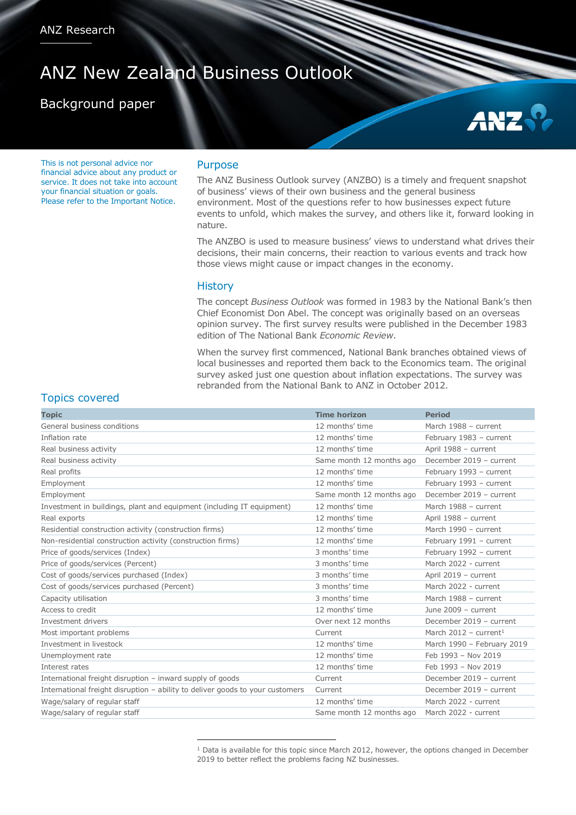# ANZ New Zealand Business Outlook

# Background paper

**ANZ** 

This is not personal advice nor financial advice about any product or service. It does not take into account your financial situation or goals. Please refer to the Important Notice.

#### Purpose

The ANZ Business Outlook survey (ANZBO) is a timely and frequent snapshot of business' views of their own business and the general business environment. Most of the questions refer to how businesses expect future events to unfold, which makes the survey, and others like it, forward looking in nature.

The ANZBO is used to measure business' views to understand what drives their decisions, their main concerns, their reaction to various events and track how those views might cause or impact changes in the economy.

#### **History**

<u>.</u>

The concept *Business Outlook* was formed in 1983 by the National Bank's then Chief Economist Don Abel. The concept was originally based on an overseas opinion survey. The first survey results were published in the December 1983 edition of The National Bank *Economic Review*.

When the survey first commenced, National Bank branches obtained views of local businesses and reported them back to the Economics team. The original survey asked just one question about inflation expectations. The survey was rebranded from the National Bank to ANZ in October 2012.

## Topics covered

| <b>Topic</b>                                                                  | <b>Time horizon</b>      | <b>Period</b>                     |
|-------------------------------------------------------------------------------|--------------------------|-----------------------------------|
| General business conditions                                                   | 12 months' time          | March 1988 - current              |
| Inflation rate                                                                | 12 months' time          | February 1983 - current           |
| Real business activity                                                        | 12 months' time          | April 1988 - current              |
| Real business activity                                                        | Same month 12 months ago | December 2019 - current           |
| Real profits                                                                  | 12 months' time          | February 1993 - current           |
| Employment                                                                    | 12 months' time          | February 1993 - current           |
| Employment                                                                    | Same month 12 months ago | December 2019 - current           |
| Investment in buildings, plant and equipment (including IT equipment)         | 12 months' time          | March 1988 - current              |
| Real exports                                                                  | 12 months' time          | April 1988 - current              |
| Residential construction activity (construction firms)                        | 12 months' time          | March 1990 - current              |
| Non-residential construction activity (construction firms)                    | 12 months' time          | February 1991 - current           |
| Price of goods/services (Index)                                               | 3 months' time           | February 1992 - current           |
| Price of goods/services (Percent)                                             | 3 months' time           | March 2022 - current              |
| Cost of goods/services purchased (Index)                                      | 3 months' time           | April 2019 - current              |
| Cost of goods/services purchased (Percent)                                    | 3 months' time           | March 2022 - current              |
| Capacity utilisation                                                          | 3 months' time           | March 1988 - current              |
| Access to credit                                                              | 12 months' time          | June $2009 - current$             |
| Investment drivers                                                            | Over next 12 months      | December 2019 - current           |
| Most important problems                                                       | Current                  | March 2012 - current <sup>1</sup> |
| Investment in livestock                                                       | 12 months' time          | March 1990 - February 2019        |
| Unemployment rate                                                             | 12 months' time          | Feb 1993 - Nov 2019               |
| Interest rates                                                                | 12 months' time          | Feb 1993 - Nov 2019               |
| International freight disruption - inward supply of goods                     | Current                  | December 2019 - current           |
| International freight disruption - ability to deliver goods to your customers | Current                  | December 2019 - current           |
| Wage/salary of regular staff                                                  | 12 months' time          | March 2022 - current              |
| Wage/salary of regular staff                                                  | Same month 12 months ago | March 2022 - current              |

<sup>&</sup>lt;sup>1</sup> Data is available for this topic since March 2012, however, the options changed in December 2019 to better reflect the problems facing NZ businesses.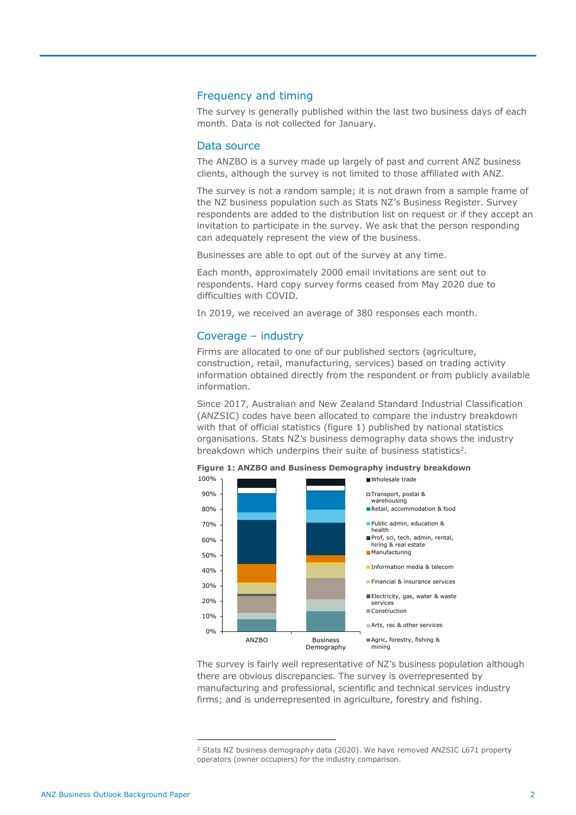#### Frequency and timing

The survey is generally published within the last two business days of each month. Data is not collected for January.

#### Data source

The ANZBO is a survey made up largely of past and current ANZ business clients, although the survey is not limited to those affiliated with ANZ.

The survey is not a random sample; it is not drawn from a sample frame of the NZ business population such as Stats NZ's Business Register. Survey respondents are added to the distribution list on request or if they accept an invitation to participate in the survey. We ask that the person responding can adequately represent the view of the business.

Businesses are able to opt out of the survey at any time.

Each month, approximately 2000 email invitations are sent out to respondents. Hard copy survey forms ceased from May 2020 due to difficulties with COVID.

In 2019, we received an average of 380 responses each month.

#### Coverage – industry

Firms are allocated to one of our published sectors (agriculture, construction, retail, manufacturing, services) based on trading activity information obtained directly from the respondent or from publicly available information.

Since 2017, Australian and New Zealand Standard Industrial Classification (ANZSIC) codes have been allocated to compare the industry breakdown with that of official statistics (figure 1) published by national statistics organisations. Stats NZ's business demography data shows the industry breakdown which underpins their suite of business statistics<sup>2</sup>.



The survey is fairly well representative of NZ's business population although there are obvious discrepancies. The survey is overrepresented by manufacturing and professional, scientific and technical services industry firms; and is underrepresented in agriculture, forestry and fishing.

<u>.</u>

<sup>&</sup>lt;sup>2</sup> Stats NZ business demography data (2020). We have removed ANZSIC L671 property operators (owner occupiers) for the industry comparison.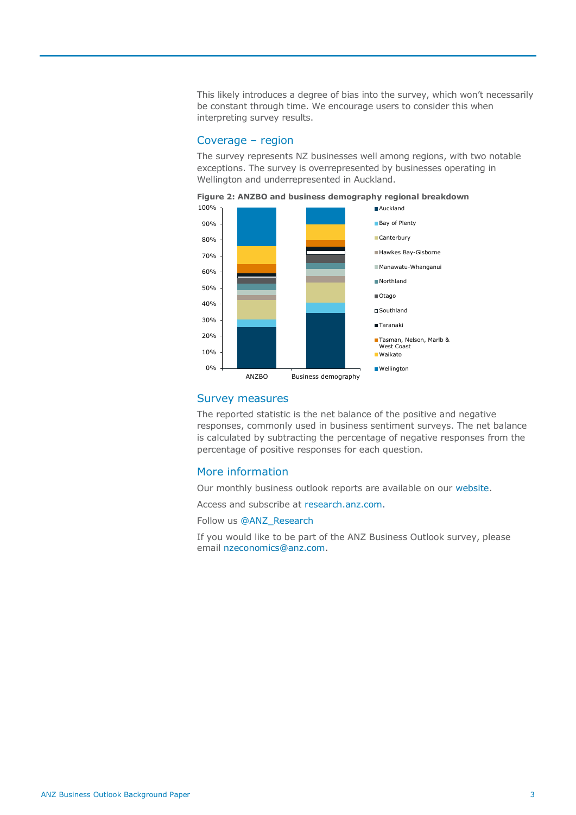This likely introduces a degree of bias into the survey, which won't necessarily be constant through time. We encourage users to consider this when interpreting survey results.

### Coverage – region

The survey represents NZ businesses well among regions, with two notable exceptions. The survey is overrepresented by businesses operating in Wellington and underrepresented in Auckland.



#### **Figure 2: ANZBO and business demography regional breakdown**

#### Survey measures

The reported statistic is the net balance of the positive and negative responses, commonly used in business sentiment surveys. The net balance is calculated by subtracting the percentage of negative responses from the percentage of positive responses for each question.

#### More information

Our monthly business outlook reports are available on our [website.](https://www.anz.co.nz/about-us/economic-markets-research/)

Access and subscribe at [research.anz.com.](http://www.research.anz.com/)

Follow us @ANZ\_Research

If you would like to be part of the ANZ Business Outlook survey, please email [nzeconomics@anz.com.](mailto:nzeconomics@anz.com)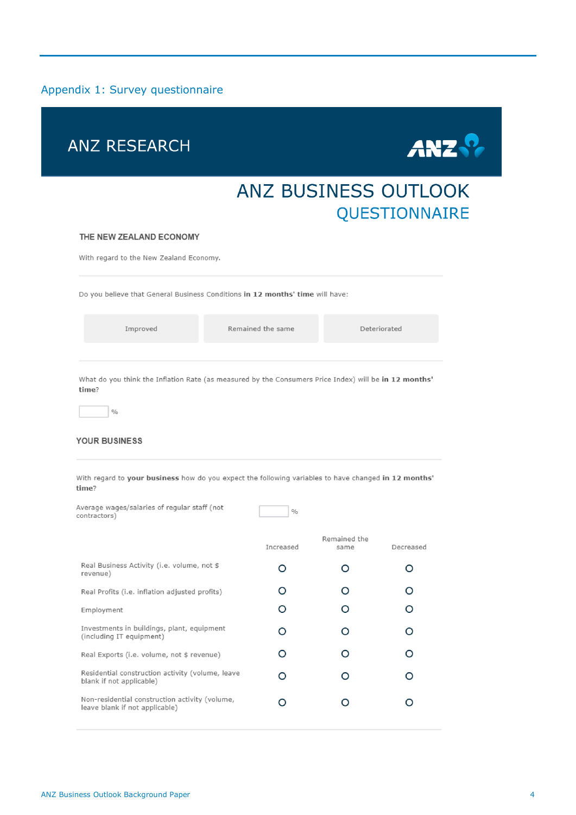### Appendix 1: Survey questionnaire



#### YOUR BUSINESS

With regard to your business how do you expect the following variables to have changed in 12 months' time?

| Average wages/salaries of regular staff (not<br>contractors)                     | $\frac{0}{0}$ |                      |           |
|----------------------------------------------------------------------------------|---------------|----------------------|-----------|
|                                                                                  | Increased     | Remained the<br>same | Decreased |
| Real Business Activity (i.e. volume, not \$<br>revenue)                          | ∩             | ∩                    | O         |
| Real Profits (i.e. inflation adjusted profits)                                   | ∩             | ∩                    | O         |
| Employment                                                                       | ∩             | O                    | O         |
| Investments in buildings, plant, equipment<br>(including IT equipment)           | O             | ∩                    | ∩         |
| Real Exports (i.e. volume, not \$ revenue)                                       | ∩             | ∩                    | ∩         |
| Residential construction activity (volume, leave<br>blank if not applicable)     |               | ∩                    | ∩         |
| Non-residential construction activity (volume,<br>leave blank if not applicable) |               |                      |           |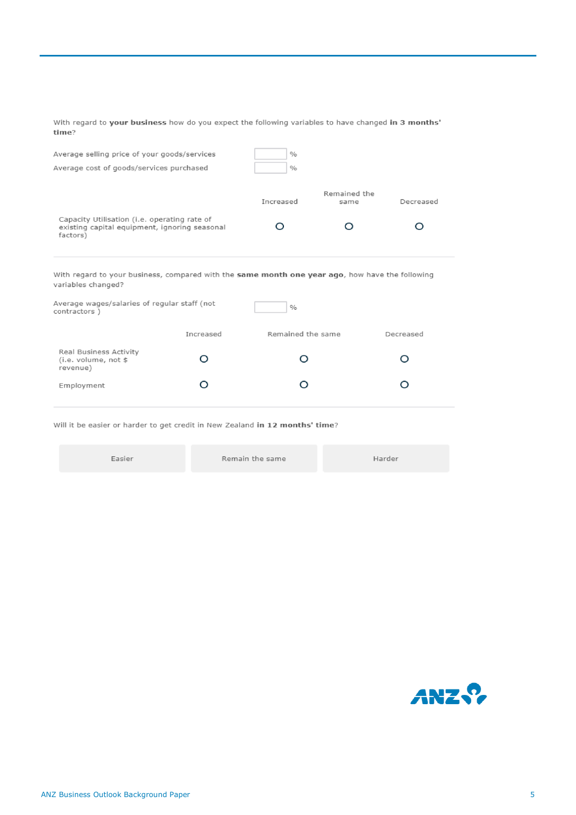With regard to your business how do you expect the following variables to have changed in 3 months' time?

| Average selling price of your goods/services<br>Average cost of goods/services purchased                  | $\%$<br>$\%$ |                      |           |
|-----------------------------------------------------------------------------------------------------------|--------------|----------------------|-----------|
|                                                                                                           | Increased    | Remained the<br>same | Decreased |
| Capacity Utilisation (i.e. operating rate of<br>existing capital equipment, ignoring seasonal<br>factors) |              |                      |           |

With regard to your business, compared with the same month one year ago, how have the following variables changed?

| Average wages/salaries of regular staff (not<br>contractors) |           | $\%$              |           |  |  |
|--------------------------------------------------------------|-----------|-------------------|-----------|--|--|
|                                                              | Increased | Remained the same | Decreased |  |  |
| Real Business Activity<br>(i.e. volume, not \$<br>revenue)   |           |                   |           |  |  |
| Employment                                                   |           |                   |           |  |  |

Will it be easier or harder to get credit in New Zealand in 12 months' time?

| Easier | Remain the same | Harder |
|--------|-----------------|--------|
|--------|-----------------|--------|

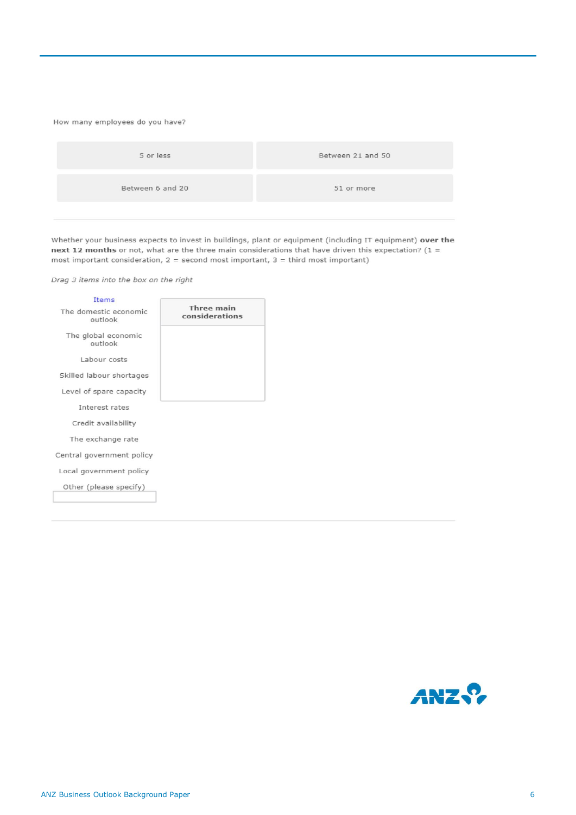#### How many employees do you have?

| Between 6 and 20<br>51 or more | 5 or less | Between 21 and 50 |
|--------------------------------|-----------|-------------------|
|                                |           |                   |

Whether your business expects to invest in buildings, plant or equipment (including IT equipment) over the next 12 months or not, what are the three main considerations that have driven this expectation?  $(1 =$ most important consideration,  $2 =$  second most important,  $3 =$  third most important)

Drag 3 items into the box on the right

| <b>Items</b>                     |                              |
|----------------------------------|------------------------------|
| The domestic economic<br>outlook | Three main<br>considerations |
| The global economic<br>outlook   |                              |
| Labour costs                     |                              |
| Skilled labour shortages         |                              |
| Level of spare capacity          |                              |
| Interest rates                   |                              |
| Credit availability              |                              |
| The exchange rate                |                              |
| Central government policy        |                              |
| Local government policy          |                              |
| Other (please specify)           |                              |

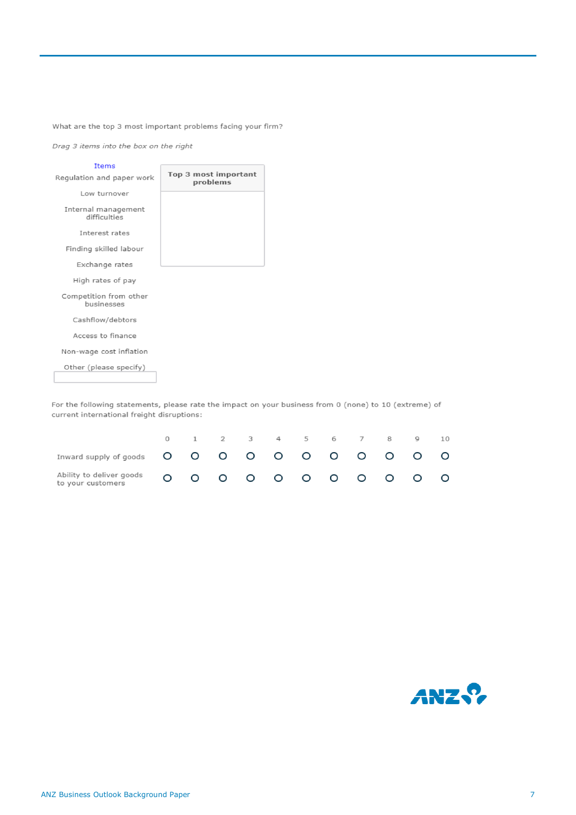What are the top 3 most important problems facing your firm?

Drag 3 items into the box on the right

![](_page_6_Figure_2.jpeg)

For the following statements, please rate the impact on your business from 0 (none) to 10 (extreme) of current international freight disruptions:

|                                               |  |  | 0 1 2 3 4 5 6 7 8 9                                               |  |  | 10 |
|-----------------------------------------------|--|--|-------------------------------------------------------------------|--|--|----|
|                                               |  |  |                                                                   |  |  |    |
| Ability to deliver goods<br>to your customers |  |  | $0\,$ $0\,$ $0\,$ $0\,$ $0\,$ $0\,$ $0\,$ $0\,$ $0\,$ $0\,$ $0\,$ |  |  |    |

![](_page_6_Picture_5.jpeg)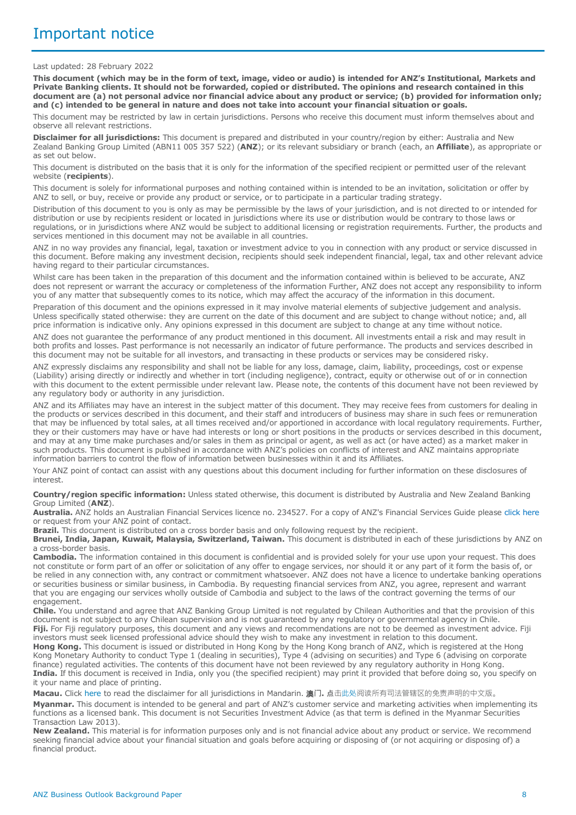#### Last updated: 28 February 2022

**This document (which may be in the form of text, image, video or audio) is intended for ANZ's Institutional, Markets and Private Banking clients. It should not be forwarded, copied or distributed. The opinions and research contained in this document are (a) not personal advice nor financial advice about any product or service; (b) provided for information only; and (c) intended to be general in nature and does not take into account your financial situation or goals.** 

This document may be restricted by law in certain jurisdictions. Persons who receive this document must inform themselves about and observe all relevant restrictions.

**Disclaimer for all jurisdictions:** This document is prepared and distributed in your country/region by either: Australia and New Zealand Banking Group Limited (ABN11 005 357 522) (**ANZ**); or its relevant subsidiary or branch (each, an **Affiliate**), as appropriate or as set out below.

This document is distributed on the basis that it is only for the information of the specified recipient or permitted user of the relevant website (**recipients**).

This document is solely for informational purposes and nothing contained within is intended to be an invitation, solicitation or offer by ANZ to sell, or buy, receive or provide any product or service, or to participate in a particular trading strategy.

Distribution of this document to you is only as may be permissible by the laws of your jurisdiction, and is not directed to or intended for distribution or use by recipients resident or located in jurisdictions where its use or distribution would be contrary to those laws or regulations, or in jurisdictions where ANZ would be subject to additional licensing or registration requirements. Further, the products and services mentioned in this document may not be available in all countries.

ANZ in no way provides any financial, legal, taxation or investment advice to you in connection with any product or service discussed in this document. Before making any investment decision, recipients should seek independent financial, legal, tax and other relevant advice having regard to their particular circumstances.

Whilst care has been taken in the preparation of this document and the information contained within is believed to be accurate, ANZ does not represent or warrant the accuracy or completeness of the information Further, ANZ does not accept any responsibility to inform you of any matter that subsequently comes to its notice, which may affect the accuracy of the information in this document.

Preparation of this document and the opinions expressed in it may involve material elements of subjective judgement and analysis. Unless specifically stated otherwise: they are current on the date of this document and are subject to change without notice; and, all price information is indicative only. Any opinions expressed in this document are subject to change at any time without notice.

ANZ does not guarantee the performance of any product mentioned in this document. All investments entail a risk and may result in both profits and losses. Past performance is not necessarily an indicator of future performance. The products and services described in this document may not be suitable for all investors, and transacting in these products or services may be considered risky.

ANZ expressly disclaims any responsibility and shall not be liable for any loss, damage, claim, liability, proceedings, cost or expense (Liability) arising directly or indirectly and whether in tort (including negligence), contract, equity or otherwise out of or in connection with this document to the extent permissible under relevant law. Please note, the contents of this document have not been reviewed by any regulatory body or authority in any jurisdiction.

ANZ and its Affiliates may have an interest in the subject matter of this document. They may receive fees from customers for dealing in the products or services described in this document, and their staff and introducers of business may share in such fees or remuneration that may be influenced by total sales, at all times received and/or apportioned in accordance with local regulatory requirements. Further, they or their customers may have or have had interests or long or short positions in the products or services described in this document, and may at any time make purchases and/or sales in them as principal or agent, as well as act (or have acted) as a market maker in such products. This document is published in accordance with ANZ's policies on conflicts of interest and ANZ maintains appropriate information barriers to control the flow of information between businesses within it and its Affiliates.

Your ANZ point of contact can assist with any questions about this document including for further information on these disclosures of interest.

#### **Country/region specific information:** Unless stated otherwise, this document is distributed by Australia and New Zealand Banking Group Limited (**ANZ**).

**Australia.** ANZ holds an Australian Financial Services licence no. 234527. For a copy of ANZ's Financial Services Guide please [click here](http://www.anz.com/documents/AU/aboutANZ/FinancialServicesGuide.pdf)  or request from your ANZ point of contact.

**Brazil.** This document is distributed on a cross border basis and only following request by the recipient.

**Brunei, India, Japan, Kuwait, Malaysia, Switzerland, Taiwan.** This document is distributed in each of these jurisdictions by ANZ on a cross-border basis.

**Cambodia.** The information contained in this document is confidential and is provided solely for your use upon your request. This does not constitute or form part of an offer or solicitation of any offer to engage services, nor should it or any part of it form the basis of, or be relied in any connection with, any contract or commitment whatsoever. ANZ does not have a licence to undertake banking operations or securities business or similar business, in Cambodia. By requesting financial services from ANZ, you agree, represent and warrant that you are engaging our services wholly outside of Cambodia and subject to the laws of the contract governing the terms of our engagement.

**Chile.** You understand and agree that ANZ Banking Group Limited is not regulated by Chilean Authorities and that the provision of this document is not subject to any Chilean supervision and is not guaranteed by any regulatory or governmental agency in Chile. **Fiji.** For Fiji regulatory purposes, this document and any views and recommendations are not to be deemed as investment advice. Fiji investors must seek licensed professional advice should they wish to make any investment in relation to this document.

**Hong Kong.** This document is issued or distributed in Hong Kong by the Hong Kong branch of ANZ, which is registered at the Hong Kong Monetary Authority to conduct Type 1 (dealing in securities), Type 4 (advising on securities) and Type 6 (advising on corporate finance) regulated activities. The contents of this document have not been reviewed by any regulatory authority in Hong Kong. **India.** If this document is received in India, only you (the specified recipient) may print it provided that before doing so, you specify on it your name and place of printing.

**Macau.** Click [here](https://publications.anz.com/SingletrackCMS__DownloadDocument?uid=99702b34-f49e-4c62-b4d0-ba0205338c02&docRef=9fbcab60-c878-4b2d-9370-b41c8a164f02&jobRef=c2e420ad-d052-4505-a190-d5f9351aef5f) to read the disclaimer for all jurisdictions in Mandarin. 澳**门.** 点[击此处阅](https://publications.anz.com/SingletrackCMS__DownloadDocument?uid=99702b34-f49e-4c62-b4d0-ba0205338c02&docRef=9fbcab60-c878-4b2d-9370-b41c8a164f02&jobRef=c2e420ad-d052-4505-a190-d5f9351aef5f)读所有司法管辖区的免责声明的中文版。 **Myanmar.** This document is intended to be general and part of ANZ's customer service and marketing activities when implementing its functions as a licensed bank. This document is not Securities Investment Advice (as that term is defined in the Myanmar Securities Transaction Law 2013).

**New Zealand.** This material is for information purposes only and is not financial advice about any product or service. We recommend seeking financial advice about your financial situation and goals before acquiring or disposing of (or not acquiring or disposing of) a financial product.